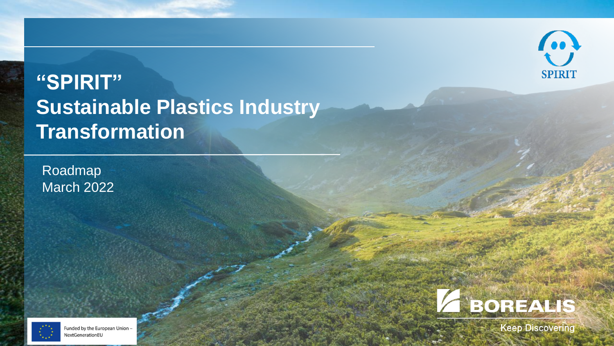

## **"SPIRIT" Sustainable Plastics Industry Transformation**

Roadmap March 2022





**Keep Discovering**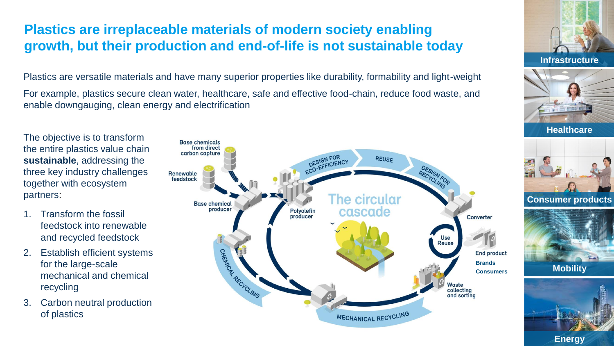## **Plastics are irreplaceable materials of modern society enabling growth, but their production and end-of-life is not sustainable today**

Plastics are versatile materials and have many superior properties like durability, formability and light-weight

For example, plastics secure clean water, healthcare, safe and effective food-chain, reduce food waste, and enable downgauging, clean energy and electrification

The objective is to transform the entire plastics value chain **sustainable**, addressing the three key industry challenges together with ecosystem partners:

- Transform the fossil feedstock into renewable and recycled feedstock
- 2. Establish efficient systems for the large-scale mechanical and chemical recycling
- 3. Carbon neutral production of plastics







**Healthcare**



**Consumer products**